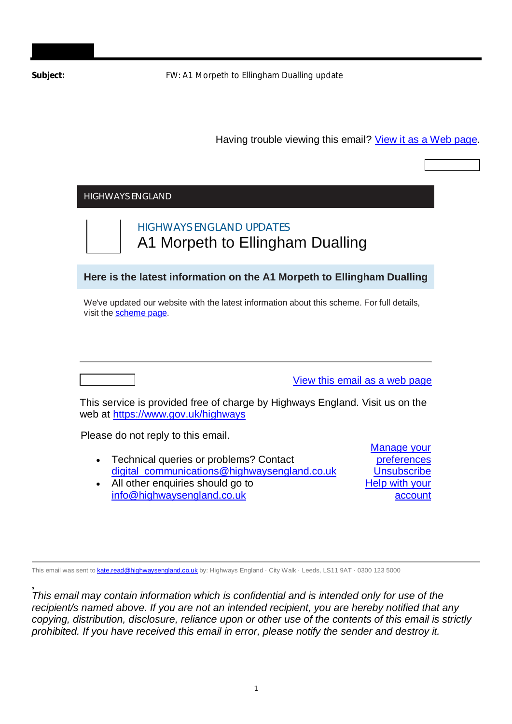Subject: **FW: A1 Morpeth to Ellingham Dualling update** 

Having trouble viewing this email? View it as a Web page.

| <b>HIGHWAYS ENGLAND</b>                                                                                              |                               |
|----------------------------------------------------------------------------------------------------------------------|-------------------------------|
| <b>HIGHWAYS ENGLAND UPDATES</b><br>A1 Morpeth to Ellingham Dualling                                                  |                               |
| Here is the latest information on the A1 Morpeth to Ellingham Dualling                                               |                               |
| We've updated our website with the latest information about this scheme. For full details,<br>visit the scheme page. |                               |
|                                                                                                                      |                               |
| This service is provided free of charge by Highways England. Visit us on the<br>web at https://www.gov.uk/highways   | View this email as a web page |
| Please do not reply to this email.                                                                                   | Manage your                   |

This email was sent to **kate.read@highwaysengland.co.uk** by: Highways England · City Walk · Leeds, LS11 9AT · 0300 123 5000

*This email may contain information which is confidential and is intended only for use of the recipient/s named above. If you are not an intended recipient, you are hereby notified that any copying, distribution, disclosure, reliance upon or other use of the contents of this email is strictly prohibited. If you have received this email in error, please notify the sender and destroy it.*